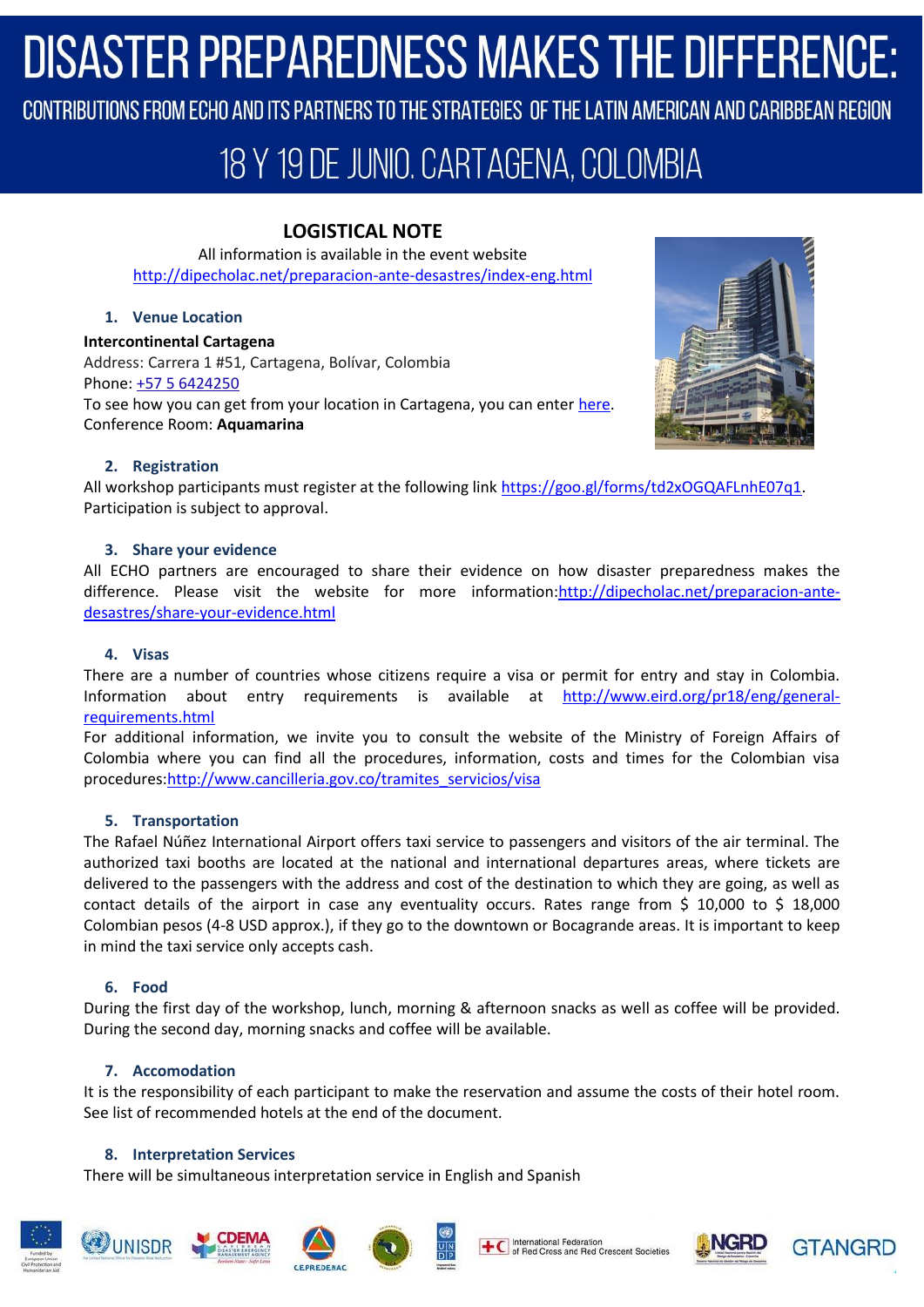# **DISASTER PREPAREDNESS MAKES THE DIFFERENCE:**

CONTRIBUTIONS FROM ECHO AND ITS PARTNERS TO THE STRATEGIES OF THE LATIN AMERICAN AND CARIBBEAN REGION

# 18 Y 19 DE JUNIO. CARTAGENA, COLOMBIA

# **LOGISTICAL NOTE**

All information is available in the event website <http://dipecholac.net/preparacion-ante-desastres/index-eng.html>

### **1. Venue Location**

**Intercontinental Cartagena**  Address: Carrera 1 #51, Cartagena, Bolívar, Colombia Phone: [+57 5 6424250](https://www.google.com/search?q=intercontinental+cartagena&rlz=1C1CHZL_enPA767PA767&oq=intercontinental+car&aqs=chrome.0.0l3j69i61j69i57j69i60.6046j0j7&sourceid=chrome&ie=UTF-8) To see how you can get from your location in Cartagena, you can ente[r here.](https://goo.gl/maps/W5bRG2TgpJ72) Conference Room: **Aquamarina** 



### **2. Registration**

All workshop participants must register at the following link [https://goo.gl/forms/td2xOGQAFLnhE07q1.](https://goo.gl/forms/td2xOGQAFLnhE07q1) Participation is subject to approval.

#### **3. Share your evidence**

All ECHO partners are encouraged to share their evidence on how disaster preparedness makes the difference. Please visit the website for more information[:http://dipecholac.net/preparacion-ante](http://dipecholac.net/preparacion-ante-desastres/share-your-evidence.html)[desastres/share-your-evidence.html](http://dipecholac.net/preparacion-ante-desastres/share-your-evidence.html)

#### **4. Visas**

There are a number of countries whose citizens require a visa or permit for entry and stay in Colombia. Information about entry requirements is available at [http://www.eird.org/pr18/eng/general](http://www.eird.org/pr18/eng/general-requirements.html)[requirements.html](http://www.eird.org/pr18/eng/general-requirements.html)

For additional information, we invite you to consult the website of the Ministry of Foreign Affairs of Colombia where you can find all the procedures, information, costs and times for the Colombian visa procedures[:http://www.cancilleria.gov.co/tramites\\_servicios/visa](http://www.cancilleria.gov.co/tramites_servicios/visa)

### **5. Transportation**

The Rafael Núñez International Airport offers taxi service to passengers and visitors of the air terminal. The authorized taxi booths are located at the national and international departures areas, where tickets are delivered to the passengers with the address and cost of the destination to which they are going, as well as contact details of the airport in case any eventuality occurs. Rates range from \$ 10,000 to \$ 18,000 Colombian pesos (4-8 USD approx.), if they go to the downtown or Bocagrande areas. It is important to keep in mind the taxi service only accepts cash.

### **6. Food**

During the first day of the workshop, lunch, morning & afternoon snacks as well as coffee will be provided. During the second day, morning snacks and coffee will be available.

### **7. Accomodation**

It is the responsibility of each participant to make the reservation and assume the costs of their hotel room. See list of recommended hotels at the end of the document.

#### **8. Interpretation Services**

There will be simultaneous interpretation service in English and Spanish











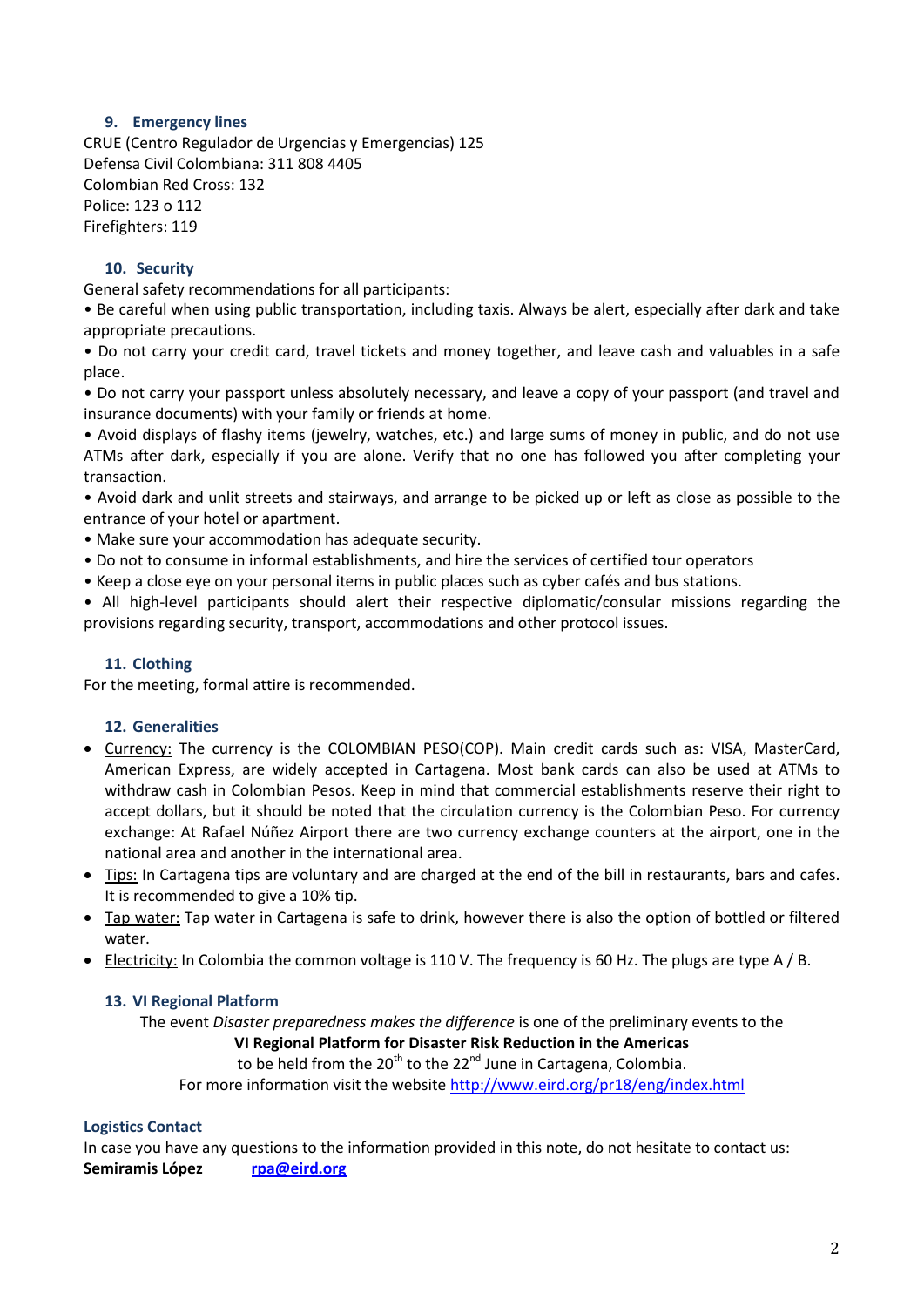#### **9. Emergency lines**

CRUE (Centro Regulador de Urgencias y Emergencias) 125 Defensa Civil Colombiana: 311 808 4405 Colombian Red Cross: 132 Police: 123 o 112 Firefighters: 119

#### **10. Security**

General safety recommendations for all participants:

• Be careful when using public transportation, including taxis. Always be alert, especially after dark and take appropriate precautions.

• Do not carry your credit card, travel tickets and money together, and leave cash and valuables in a safe place.

• Do not carry your passport unless absolutely necessary, and leave a copy of your passport (and travel and insurance documents) with your family or friends at home.

• Avoid displays of flashy items (jewelry, watches, etc.) and large sums of money in public, and do not use ATMs after dark, especially if you are alone. Verify that no one has followed you after completing your transaction.

• Avoid dark and unlit streets and stairways, and arrange to be picked up or left as close as possible to the entrance of your hotel or apartment.

- Make sure your accommodation has adequate security.
- Do not to consume in informal establishments, and hire the services of certified tour operators
- Keep a close eye on your personal items in public places such as cyber cafés and bus stations.

• All high-level participants should alert their respective diplomatic/consular missions regarding the provisions regarding security, transport, accommodations and other protocol issues.

#### **11. Clothing**

For the meeting, formal attire is recommended.

#### **12. Generalities**

- Currency: The currency is the COLOMBIAN PESO(COP). Main credit cards such as: VISA, MasterCard, American Express, are widely accepted in Cartagena. Most bank cards can also be used at ATMs to withdraw cash in Colombian Pesos. Keep in mind that commercial establishments reserve their right to accept dollars, but it should be noted that the circulation currency is the Colombian Peso. For currency exchange: At Rafael Núñez Airport there are two currency exchange counters at the airport, one in the national area and another in the international area.
- Tips: In Cartagena tips are voluntary and are charged at the end of the bill in restaurants, bars and cafes. It is recommended to give a 10% tip.
- Tap water: Tap water in Cartagena is safe to drink, however there is also the option of bottled or filtered water.
- **ELECTRICITY:** In Colombia the common voltage is 110 V. The frequency is 60 Hz. The plugs are type A / B.

#### **13. VI Regional Platform**

The event *Disaster preparedness makes the difference* is one of the preliminary events to the **VI Regional Platform for Disaster Risk Reduction in the Americas**

to be held from the  $20<sup>th</sup>$  to the  $22<sup>nd</sup>$  June in Cartagena, Colombia. For more information visit the website<http://www.eird.org/pr18/eng/index.html>

#### **Logistics Contact**

In case you have any questions to the information provided in this note, do not hesitate to contact us: **Semiramis López [rpa@eird.org](mailto:rpa@eird.org)**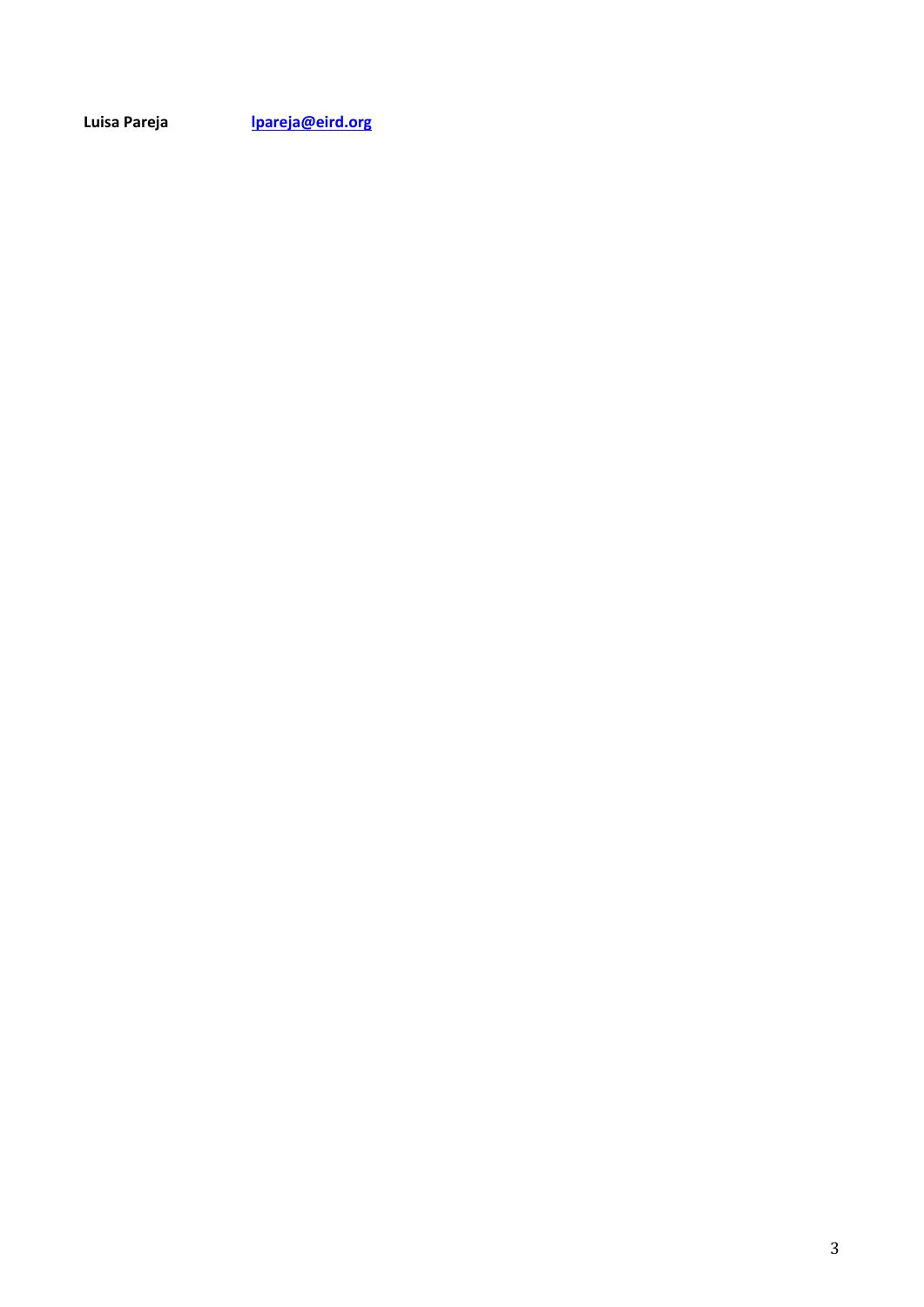**Luisa Pareja [lpareja@eird.org](mailto:lpareja@eird.org)**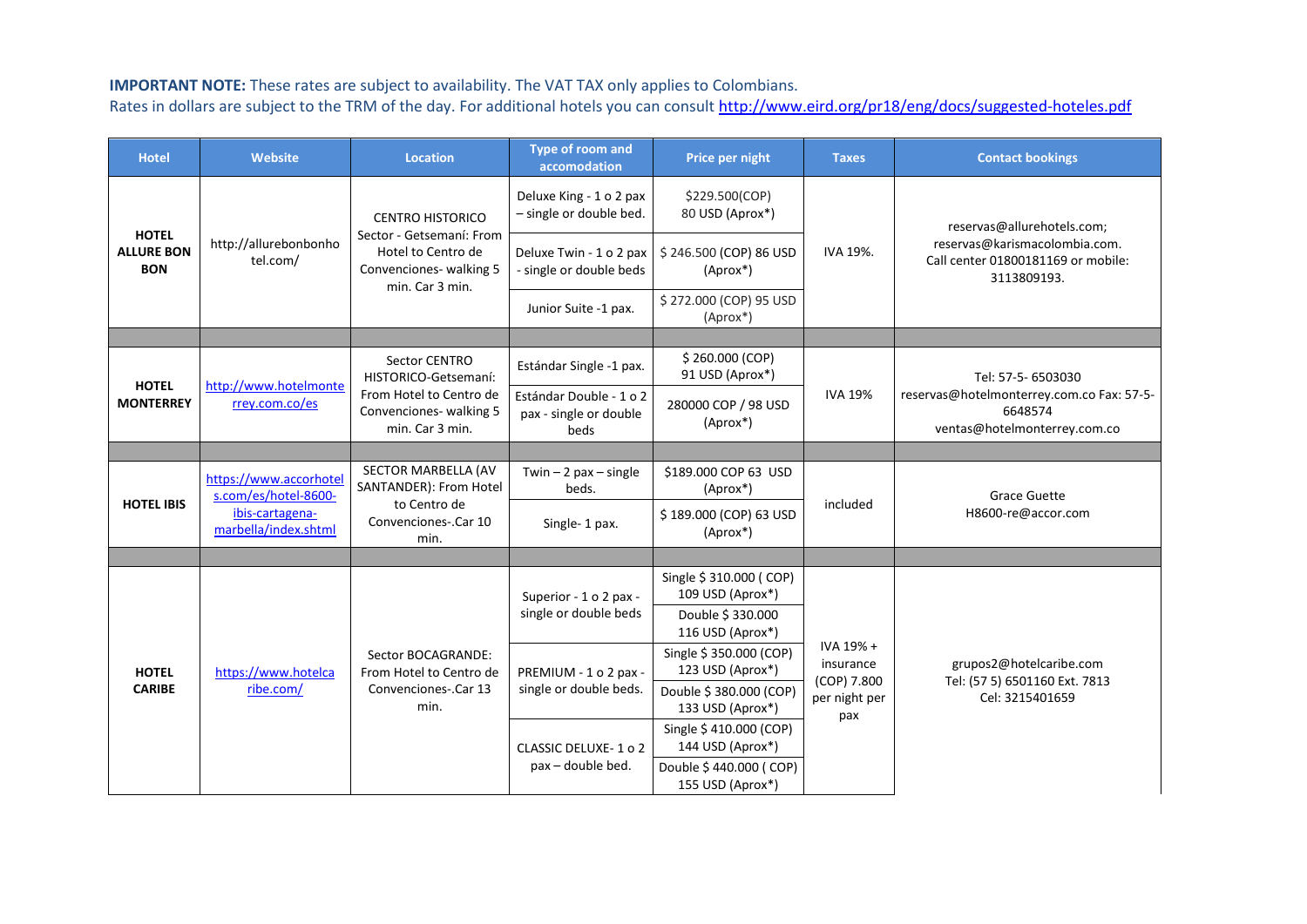## **IMPORTANT NOTE:** These rates are subject to availability. The VAT TAX only applies to Colombians.

Rates in dollars are subject to the TRM of the day. For additional hotels you can consult<http://www.eird.org/pr18/eng/docs/suggested-hoteles.pdf>

| <b>Hotel</b>                                    | <b>Website</b>                                                                            | <b>Location</b>                                                                                                         | <b>Type of room and</b><br>accomodation                   | Price per night                             | <b>Taxes</b>                                                  | <b>Contact bookings</b>                                                                                          |
|-------------------------------------------------|-------------------------------------------------------------------------------------------|-------------------------------------------------------------------------------------------------------------------------|-----------------------------------------------------------|---------------------------------------------|---------------------------------------------------------------|------------------------------------------------------------------------------------------------------------------|
| <b>HOTEL</b><br><b>ALLURE BON</b><br><b>BON</b> | http://allurebonbonho<br>tel.com/                                                         | <b>CENTRO HISTORICO</b><br>Sector - Getsemaní: From<br>Hotel to Centro de<br>Convenciones- walking 5<br>min. Car 3 min. | Deluxe King - 1 o 2 pax<br>- single or double bed.        | \$229.500(COP)<br>80 USD (Aprox*)           | IVA 19%.                                                      | reservas@allurehotels.com;<br>reservas@karismacolombia.com.<br>Call center 01800181169 or mobile:<br>3113809193. |
|                                                 |                                                                                           |                                                                                                                         | Deluxe Twin - 1 o 2 pax<br>- single or double beds        | \$246.500 (COP) 86 USD<br>(Aprox*)          |                                                               |                                                                                                                  |
|                                                 |                                                                                           |                                                                                                                         | Junior Suite -1 pax.                                      | \$272.000 (COP) 95 USD<br>(Aprox*)          |                                                               |                                                                                                                  |
|                                                 |                                                                                           |                                                                                                                         |                                                           |                                             |                                                               |                                                                                                                  |
| <b>HOTEL</b><br><b>MONTERREY</b>                | http://www.hotelmonte<br>rrey.com.co/es                                                   | Sector CENTRO<br>HISTORICO-Getsemaní:<br>From Hotel to Centro de<br>Convenciones- walking 5<br>min. Car 3 min.          | Estándar Single -1 pax.                                   | \$260.000 (COP)<br>91 USD (Aprox*)          | <b>IVA 19%</b>                                                | Tel: 57-5- 6503030<br>reservas@hotelmonterrey.com.co Fax: 57-5-<br>6648574<br>ventas@hotelmonterrey.com.co       |
|                                                 |                                                                                           |                                                                                                                         | Estándar Double - 1 o 2<br>pax - single or double<br>beds | 280000 COP / 98 USD<br>(Aprox*)             |                                                               |                                                                                                                  |
|                                                 |                                                                                           |                                                                                                                         |                                                           |                                             |                                                               |                                                                                                                  |
| <b>HOTEL IBIS</b>                               | https://www.accorhotel<br>s.com/es/hotel-8600-<br>ibis-cartagena-<br>marbella/index.shtml | SECTOR MARBELLA (AV<br>SANTANDER): From Hotel<br>to Centro de<br>Convenciones-.Car 10<br>min.                           | Twin $-2$ pax $-$ single<br>beds.                         | \$189.000 COP 63 USD<br>(Aprox*)            | included                                                      | <b>Grace Guette</b><br>H8600-re@accor.com                                                                        |
|                                                 |                                                                                           |                                                                                                                         | Single-1 pax.                                             | \$189.000 (COP) 63 USD<br>(Aprox*)          |                                                               |                                                                                                                  |
|                                                 |                                                                                           |                                                                                                                         |                                                           |                                             |                                                               |                                                                                                                  |
| <b>HOTEL</b><br><b>CARIBE</b>                   | https://www.hotelca<br>ribe.com/                                                          | Sector BOCAGRANDE:<br>From Hotel to Centro de<br>Convenciones-.Car 13<br>min.                                           | Superior - 1 o 2 pax -<br>single or double beds           | Single \$ 310.000 (COP)<br>109 USD (Aprox*) | IVA 19% +<br>insurance<br>(COP) 7.800<br>per night per<br>pax | grupos2@hotelcaribe.com<br>Tel: (57 5) 6501160 Ext. 7813<br>Cel: 3215401659                                      |
|                                                 |                                                                                           |                                                                                                                         |                                                           | Double \$330.000<br>116 USD (Aprox*)        |                                                               |                                                                                                                  |
|                                                 |                                                                                           |                                                                                                                         | PREMIUM - 1 o 2 pax -<br>single or double beds.           | Single \$ 350.000 (COP)<br>123 USD (Aprox*) |                                                               |                                                                                                                  |
|                                                 |                                                                                           |                                                                                                                         |                                                           | Double \$ 380.000 (COP)<br>133 USD (Aprox*) |                                                               |                                                                                                                  |
|                                                 |                                                                                           |                                                                                                                         | CLASSIC DELUXE-1 o 2<br>pax - double bed.                 | Single \$410.000 (COP)<br>144 USD (Aprox*)  |                                                               |                                                                                                                  |
|                                                 |                                                                                           |                                                                                                                         |                                                           | Double \$440.000 (COP)<br>155 USD (Aprox*)  |                                                               |                                                                                                                  |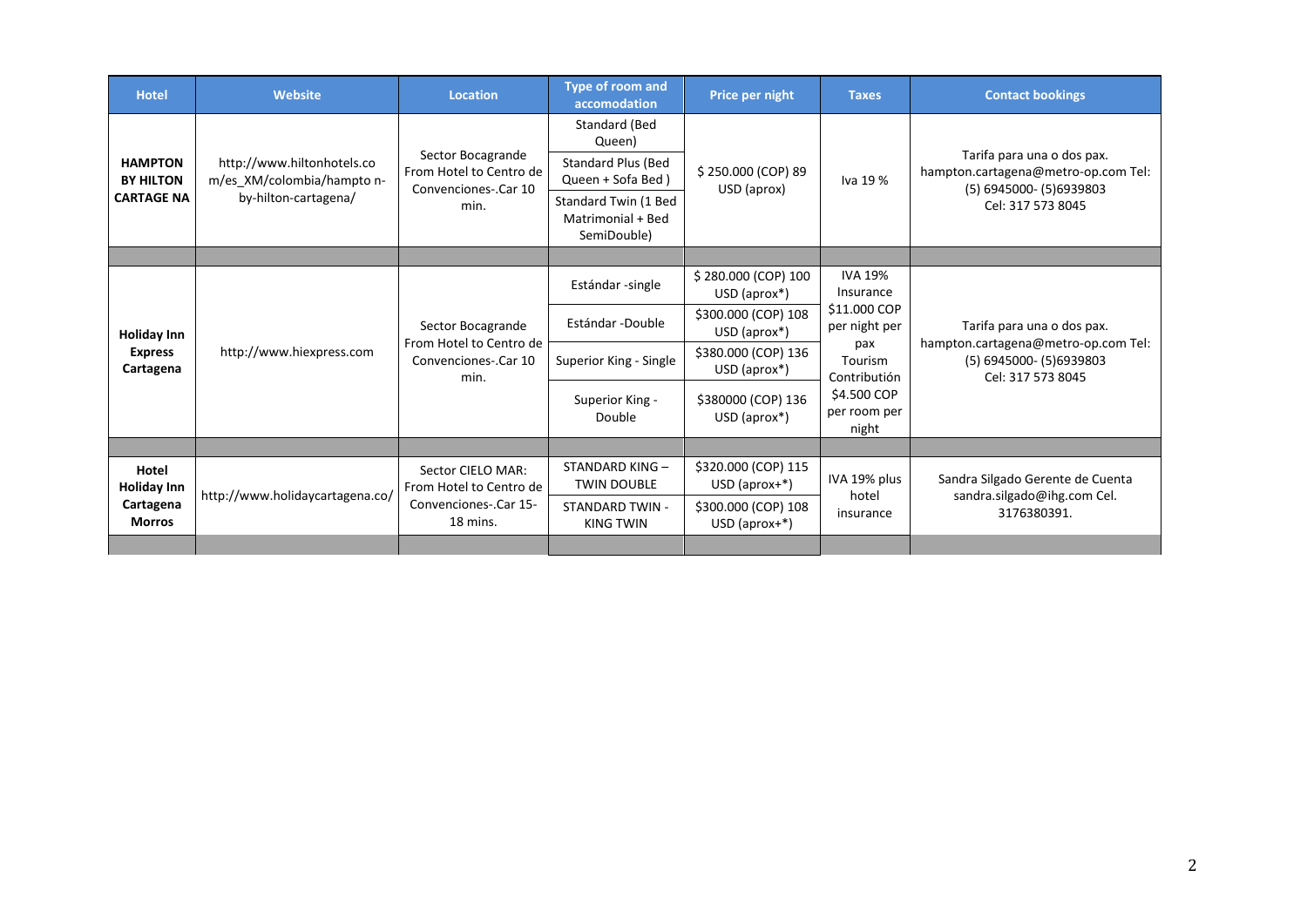| <b>Hotel</b>                                              | <b>Website</b>                                                                   | <b>Location</b>                                                                   | <b>Type of room and</b><br>accomodation                  | Price per night                        | <b>Taxes</b>                                                                                                                           | <b>Contact bookings</b>                                                                                            |
|-----------------------------------------------------------|----------------------------------------------------------------------------------|-----------------------------------------------------------------------------------|----------------------------------------------------------|----------------------------------------|----------------------------------------------------------------------------------------------------------------------------------------|--------------------------------------------------------------------------------------------------------------------|
| <b>HAMPTON</b><br><b>BY HILTON</b><br><b>CARTAGE NA</b>   | http://www.hiltonhotels.co<br>m/es_XM/colombia/hampto n-<br>by-hilton-cartagena/ | Sector Bocagrande<br>From Hotel to Centro de<br>Convenciones-.Car 10<br>min.      | Standard (Bed<br>Queen)                                  | \$250.000 (COP) 89<br>USD (aprox)      | Iva 19 %                                                                                                                               | Tarifa para una o dos pax.<br>hampton.cartagena@metro-op.com Tel:<br>(5) 6945000- (5) 6939803<br>Cel: 317 573 8045 |
|                                                           |                                                                                  |                                                                                   | Standard Plus (Bed<br>Queen + Sofa Bed)                  |                                        |                                                                                                                                        |                                                                                                                    |
|                                                           |                                                                                  |                                                                                   | Standard Twin (1 Bed<br>Matrimonial + Bed<br>SemiDouble) |                                        |                                                                                                                                        |                                                                                                                    |
|                                                           |                                                                                  |                                                                                   |                                                          |                                        |                                                                                                                                        |                                                                                                                    |
| <b>Holiday Inn</b><br><b>Express</b><br>Cartagena         | http://www.hiexpress.com                                                         | Sector Bocagrande<br>From Hotel to Centro de<br>Convenciones-.Car 10<br>min.      | Estándar-single                                          | \$280.000 (COP) 100<br>USD (aprox*)    | <b>IVA 19%</b><br>Insurance<br>\$11.000 COP<br>per night per<br>pax<br>Tourism<br>Contributión<br>\$4,500 COP<br>per room per<br>night | Tarifa para una o dos pax.<br>hampton.cartagena@metro-op.com Tel:<br>(5) 6945000- (5) 6939803<br>Cel: 317 573 8045 |
|                                                           |                                                                                  |                                                                                   | Estándar -Double                                         | \$300.000 (COP) 108<br>USD (aprox*)    |                                                                                                                                        |                                                                                                                    |
|                                                           |                                                                                  |                                                                                   | Superior King - Single                                   | \$380.000 (COP) 136<br>$USD$ (aprox*)  |                                                                                                                                        |                                                                                                                    |
|                                                           |                                                                                  |                                                                                   | Superior King -<br>Double                                | \$380000 (COP) 136<br>$USD$ (aprox*)   |                                                                                                                                        |                                                                                                                    |
|                                                           |                                                                                  |                                                                                   |                                                          |                                        |                                                                                                                                        |                                                                                                                    |
| Hotel<br><b>Holiday Inn</b><br>Cartagena<br><b>Morros</b> | http://www.holidaycartagena.co/                                                  | Sector CIELO MAR:<br>From Hotel to Centro de<br>Convenciones-.Car 15-<br>18 mins. | STANDARD KING-<br><b>TWIN DOUBLE</b>                     | \$320.000 (COP) 115<br>$USD$ (aprox+*) | IVA 19% plus<br>hotel<br>insurance                                                                                                     | Sandra Silgado Gerente de Cuenta<br>sandra.silgado@ihg.com Cel.<br>3176380391.                                     |
|                                                           |                                                                                  |                                                                                   | <b>STANDARD TWIN -</b><br><b>KING TWIN</b>               | \$300.000 (COP) 108<br>$USD$ (aprox+*) |                                                                                                                                        |                                                                                                                    |
|                                                           |                                                                                  |                                                                                   |                                                          |                                        |                                                                                                                                        |                                                                                                                    |